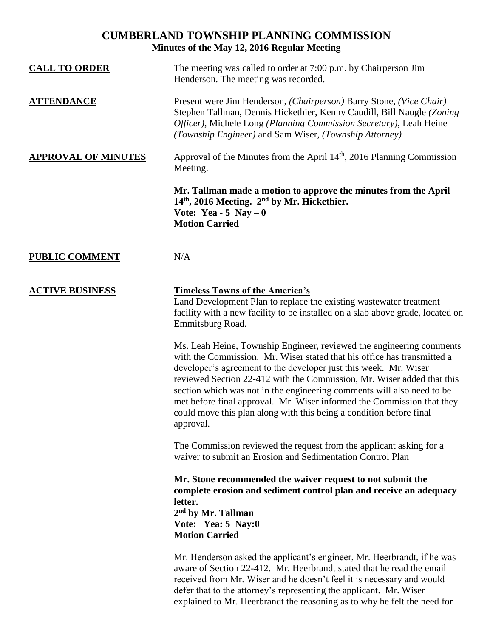## **CUMBERLAND TOWNSHIP PLANNING COMMISSION Minutes of the May 12, 2016 Regular Meeting**

| <b>CALL TO ORDER</b>       | The meeting was called to order at 7:00 p.m. by Chairperson Jim<br>Henderson. The meeting was recorded.                                                                                                                                                                                                                                                                                                                                                                                                                               |
|----------------------------|---------------------------------------------------------------------------------------------------------------------------------------------------------------------------------------------------------------------------------------------------------------------------------------------------------------------------------------------------------------------------------------------------------------------------------------------------------------------------------------------------------------------------------------|
| <b>ATTENDANCE</b>          | Present were Jim Henderson, (Chairperson) Barry Stone, (Vice Chair)<br>Stephen Tallman, Dennis Hickethier, Kenny Caudill, Bill Naugle (Zoning<br>Officer), Michele Long (Planning Commission Secretary), Leah Heine<br>(Township Engineer) and Sam Wiser, (Township Attorney)                                                                                                                                                                                                                                                         |
| <b>APPROVAL OF MINUTES</b> | Approval of the Minutes from the April 14 <sup>th</sup> , 2016 Planning Commission<br>Meeting.                                                                                                                                                                                                                                                                                                                                                                                                                                        |
|                            | Mr. Tallman made a motion to approve the minutes from the April<br>14th, 2016 Meeting. 2nd by Mr. Hickethier.<br>Vote: Yea - 5 Nay $-0$<br><b>Motion Carried</b>                                                                                                                                                                                                                                                                                                                                                                      |
| <b>PUBLIC COMMENT</b>      | N/A                                                                                                                                                                                                                                                                                                                                                                                                                                                                                                                                   |
| <b>ACTIVE BUSINESS</b>     | <b>Timeless Towns of the America's</b><br>Land Development Plan to replace the existing wastewater treatment<br>facility with a new facility to be installed on a slab above grade, located on<br>Emmitsburg Road.                                                                                                                                                                                                                                                                                                                    |
|                            | Ms. Leah Heine, Township Engineer, reviewed the engineering comments<br>with the Commission. Mr. Wiser stated that his office has transmitted a<br>developer's agreement to the developer just this week. Mr. Wiser<br>reviewed Section 22-412 with the Commission, Mr. Wiser added that this<br>section which was not in the engineering comments will also need to be<br>met before final approval. Mr. Wiser informed the Commission that they<br>could move this plan along with this being a condition before final<br>approval. |
|                            | The Commission reviewed the request from the applicant asking for a<br>waiver to submit an Erosion and Sedimentation Control Plan                                                                                                                                                                                                                                                                                                                                                                                                     |
|                            | Mr. Stone recommended the waiver request to not submit the<br>complete erosion and sediment control plan and receive an adequacy<br>letter.<br>2 <sup>nd</sup> by Mr. Tallman<br>Vote: Yea: 5 Nay:0<br><b>Motion Carried</b>                                                                                                                                                                                                                                                                                                          |
|                            | Mr. Henderson asked the applicant's engineer, Mr. Heerbrandt, if he was<br>aware of Section 22-412. Mr. Heerbrandt stated that he read the email<br>received from Mr. Wiser and he doesn't feel it is necessary and would<br>defer that to the attorney's representing the applicant. Mr. Wiser                                                                                                                                                                                                                                       |

explained to Mr. Heerbrandt the reasoning as to why he felt the need for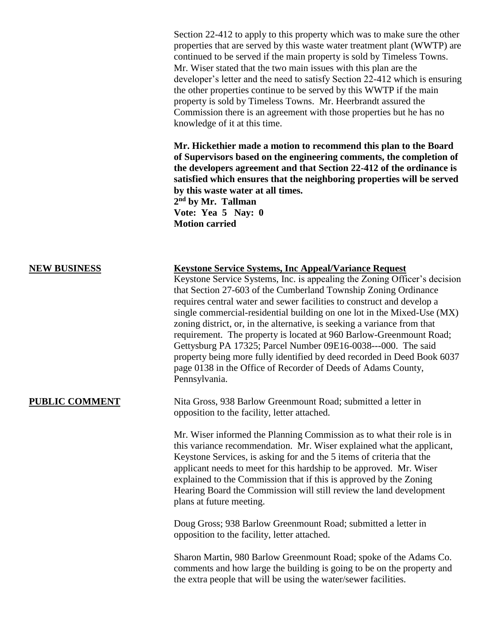Section 22-412 to apply to this property which was to make sure the other properties that are served by this waste water treatment plant (WWTP) are continued to be served if the main property is sold by Timeless Towns. Mr. Wiser stated that the two main issues with this plan are the developer's letter and the need to satisfy Section 22-412 which is ensuring the other properties continue to be served by this WWTP if the main property is sold by Timeless Towns. Mr. Heerbrandt assured the Commission there is an agreement with those properties but he has no knowledge of it at this time.

**Mr. Hickethier made a motion to recommend this plan to the Board of Supervisors based on the engineering comments, the completion of the developers agreement and that Section 22-412 of the ordinance is satisfied which ensures that the neighboring properties will be served by this waste water at all times. 2 nd by Mr. Tallman**

**Vote: Yea 5 Nay: 0 Motion carried** 

| <b>NEW BUSINESS</b> | <b>Keystone Service Systems, Inc Appeal/Variance Request</b><br>Keystone Service Systems, Inc. is appealing the Zoning Officer's decision<br>that Section 27-603 of the Cumberland Township Zoning Ordinance<br>requires central water and sewer facilities to construct and develop a<br>single commercial-residential building on one lot in the Mixed-Use (MX)<br>zoning district, or, in the alternative, is seeking a variance from that<br>requirement. The property is located at 960 Barlow-Greenmount Road;<br>Gettysburg PA 17325; Parcel Number 09E16-0038---000. The said<br>property being more fully identified by deed recorded in Deed Book 6037<br>page 0138 in the Office of Recorder of Deeds of Adams County,<br>Pennsylvania. |
|---------------------|----------------------------------------------------------------------------------------------------------------------------------------------------------------------------------------------------------------------------------------------------------------------------------------------------------------------------------------------------------------------------------------------------------------------------------------------------------------------------------------------------------------------------------------------------------------------------------------------------------------------------------------------------------------------------------------------------------------------------------------------------|
| PUBLIC COMMENT      | Nita Gross, 938 Barlow Greenmount Road; submitted a letter in<br>opposition to the facility, letter attached.                                                                                                                                                                                                                                                                                                                                                                                                                                                                                                                                                                                                                                      |
|                     | Mr. Wiser informed the Planning Commission as to what their role is in<br>this variance recommendation. Mr. Wiser explained what the applicant,<br>Keystone Services, is asking for and the 5 items of criteria that the<br>applicant needs to meet for this hardship to be approved. Mr. Wiser<br>explained to the Commission that if this is approved by the Zoning<br>Hearing Board the Commission will still review the land development<br>plans at future meeting.                                                                                                                                                                                                                                                                           |
|                     | Doug Gross; 938 Barlow Greenmount Road; submitted a letter in<br>opposition to the facility, letter attached.                                                                                                                                                                                                                                                                                                                                                                                                                                                                                                                                                                                                                                      |
|                     | Sharon Martin, 980 Barlow Greenmount Road; spoke of the Adams Co.<br>comments and how large the building is going to be on the property and<br>the extra people that will be using the water/sewer facilities.                                                                                                                                                                                                                                                                                                                                                                                                                                                                                                                                     |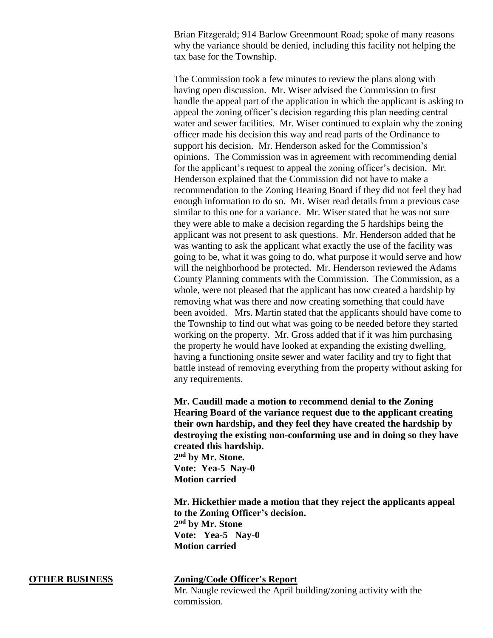Brian Fitzgerald; 914 Barlow Greenmount Road; spoke of many reasons why the variance should be denied, including this facility not helping the tax base for the Township.

The Commission took a few minutes to review the plans along with having open discussion. Mr. Wiser advised the Commission to first handle the appeal part of the application in which the applicant is asking to appeal the zoning officer's decision regarding this plan needing central water and sewer facilities. Mr. Wiser continued to explain why the zoning officer made his decision this way and read parts of the Ordinance to support his decision. Mr. Henderson asked for the Commission's opinions. The Commission was in agreement with recommending denial for the applicant's request to appeal the zoning officer's decision. Mr. Henderson explained that the Commission did not have to make a recommendation to the Zoning Hearing Board if they did not feel they had enough information to do so. Mr. Wiser read details from a previous case similar to this one for a variance. Mr. Wiser stated that he was not sure they were able to make a decision regarding the 5 hardships being the applicant was not present to ask questions. Mr. Henderson added that he was wanting to ask the applicant what exactly the use of the facility was going to be, what it was going to do, what purpose it would serve and how will the neighborhood be protected. Mr. Henderson reviewed the Adams County Planning comments with the Commission. The Commission, as a whole, were not pleased that the applicant has now created a hardship by removing what was there and now creating something that could have been avoided. Mrs. Martin stated that the applicants should have come to the Township to find out what was going to be needed before they started working on the property. Mr. Gross added that if it was him purchasing the property he would have looked at expanding the existing dwelling, having a functioning onsite sewer and water facility and try to fight that battle instead of removing everything from the property without asking for any requirements.

**Mr. Caudill made a motion to recommend denial to the Zoning Hearing Board of the variance request due to the applicant creating their own hardship, and they feel they have created the hardship by destroying the existing non-conforming use and in doing so they have created this hardship. 2 nd by Mr. Stone. Vote: Yea-5 Nay-0 Motion carried** 

**Mr. Hickethier made a motion that they reject the applicants appeal to the Zoning Officer's decision. 2 nd by Mr. Stone Vote: Yea-5 Nay-0 Motion carried**

**OTHER BUSINESS Zoning/Code Officer's Report**

Mr. Naugle reviewed the April building/zoning activity with the commission.